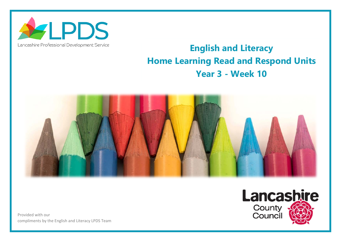

## Lancashire Professional Development Service

## **English and Literacy Home Learning Read and Respond Units Year 3 - Week 10**



Provided with our compliments by the English and Literacy LPDS Team

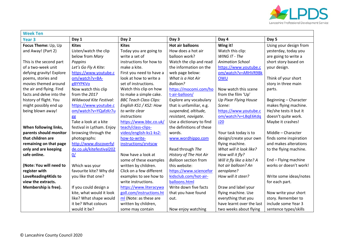

| <b>Week Ten</b>          |                           |                               |                             |                            |                        |  |  |  |
|--------------------------|---------------------------|-------------------------------|-----------------------------|----------------------------|------------------------|--|--|--|
| Year <sub>3</sub>        | Day 1                     | Day 2                         | Day 3                       | Day 4                      | Day 5                  |  |  |  |
| Focus Theme: Up, Up      | <b>Kites</b>              | <b>Kites</b>                  | <b>Hot air balloons</b>     | Wing it!                   | Using your design from |  |  |  |
| and Away! (Part 2)       | Listen/watch the clip     | Today you are going to        | How does a hot air          | Watch this clip:           | yesterday, today you   |  |  |  |
|                          | below from Mary           | write a set of                | balloon work?               | WING IT - The              | are going to write a   |  |  |  |
| This is the second part  | Poppins                   | instructions for how to       | Watch the clip and read     | <b>Animation School</b>    | short story based on   |  |  |  |
| of a two-week unit       | Let's Go Fly A Kite:      | make a kite.                  | the information on the      | https://www.youtube.c      | your design.           |  |  |  |
| defying gravity! Explore | https://www.youtube.c     | First you need to have a      | web page below:             | om/watch?v=ARHVR9Bk        |                        |  |  |  |
| poems, stories and       | om/watch?v=BA-            | look at how to write a        | What is a Hot Air           | OWU                        | Think of your short    |  |  |  |
| movies themed around     | g8YYPKVo                  | set of instructions.          | Balloon?                    |                            | story in three main    |  |  |  |
| the air and flying. Find | Now watch this clip       | Watch this clip on how        | https://mocomi.com/ho       | Now watch this scene       | parts.                 |  |  |  |
| facts and delve into the | from the 2017             | to make a simple cake.        | t-air-balloon/              | from the film 'Up'         |                        |  |  |  |
| history of flight. You   | Wildwood Kite Festival:   | <b>BBC Teach Class Clips:</b> | Explore any vocabulary      | Up Pixar Flying House      | Beginning - Character  |  |  |  |
| might possibly end up    | https://www.youtube.c     | English KS1 / KS2: How        | that is unfamiliar, e.g.    | Scene:                     | makes flying machine.  |  |  |  |
| being blown away!        | om/watch?v=YQafzKr7u      | to write clear                | suspended, altitude,        | https://www.youtube.c      | He/she tests it but it |  |  |  |
|                          | gg                        | instructions                  | resistant, navigate.        | om/watch?v=LBqE6Kdq        | doesn't quite work.    |  |  |  |
|                          | Take a look at a kite     | https://www.bbc.co.uk/        | Use a dictionary to find    | J20                        | Maybe it crashes!      |  |  |  |
| When following links,    | festival in Lytham. Enjoy | teach/class-clips-            | the definitions of these    |                            |                        |  |  |  |
| parents should monitor   | browsing through the      | video/english-ks1-ks2-        | words.                      | Your task today is to      | Middle - Character     |  |  |  |
| that children are        | photographs:              | how-to-write-                 | www.wordhippo.com           | design/create your own     | finds some inspiration |  |  |  |
| remaining on that page   | http://www.discoverfyl    | instructions/zrvtscw          |                             | flying machine.            | and makes alterations  |  |  |  |
| only and are keeping     | de.co.uk/kitefestival202  |                               | Read through The            | What will it look like?    | to the flying machine. |  |  |  |
| safe online.             | 0/                        | Now have a look at            | History of The Hot Air      | How will it fly?           |                        |  |  |  |
|                          |                           | some of these examples        | <b>Balloon section from</b> | Will it fly like a kite? A | End - Flying machine   |  |  |  |
| (Note: You will need to  | Which was your            | written by children.          | this website:               | hot air balloon? An        | works or doesn't work! |  |  |  |
| register with            | favourite kite? Why did   | Click on a few different      | https://www.sciencefor      | aeroplane?                 |                        |  |  |  |
| LoveReading4Kids to      | you like that one?        | examples to see how to        | kidsclub.com/hot-air-       | How will it steer?         | Write some ideas/notes |  |  |  |
| view the extracts.       |                           | write instructions.           | balloons.html               |                            | for each part.         |  |  |  |
| Membership is free).     | If you could design a     | https://www.literacywa        | Write down five facts       | Draw and label your        |                        |  |  |  |
|                          | kite, what would it look  | goll.com/instructions.ht      | that you have found         | flying machine. Use        | Now write your short   |  |  |  |
|                          | like? What shape would    | ml (Note: as these are        | out.                        | everything that you        | story. Remember to     |  |  |  |
|                          | it be? What colours       | written by children,          |                             | have learnt over the last  | include some Year 3    |  |  |  |
|                          | would it be?              | some may contain              | Now enjoy watching          | two weeks about flying     | sentence types/skills  |  |  |  |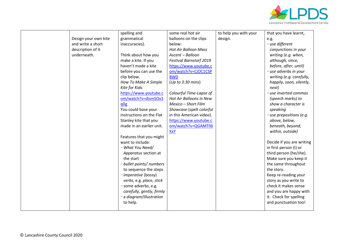

|                      | spelling and              | some real hot air              | to help you with your | that you have learnt,      |
|----------------------|---------------------------|--------------------------------|-----------------------|----------------------------|
| Design your own kite | grammatical               | balloons on the clips          | design.               | e.g.                       |
| and write a short    | inaccuracies).            | below:                         |                       | $-$ use different          |
| description of it    |                           | <b>Hot Air Balloon Mass</b>    |                       | conjunctions in your       |
| underneath.          | Think about how you       | Ascent - Balloon               |                       | writing (e.g. when,        |
|                      | make a kite. If you       | <b>Festival Barnstorf 2019</b> |                       | although, since,           |
|                      | haven't made a kite       | https://www.youtube.c          |                       | before, after, until)      |
|                      | before you can use the    | om/watch?v=CjOC1CSP            |                       | $-$ use adverbs in your    |
|                      | clip below.               | <b>BWO</b>                     |                       | writing (e.g. carefully,   |
|                      | How To Make A Simple      | (Up to 3:30 mins)              |                       | happily, soon, silently,   |
|                      | Kite for Kids:            |                                |                       | next)                      |
|                      | https://www.youtube.c     | Colourful Time-Lapse of        |                       | $-$ use inverted commas    |
|                      | om/watch?v=dismSOx3       | Hot Air Balloons in New        |                       | (speech marks) to          |
|                      | q0g                       | Mexico - Short Film            |                       | show a character is        |
|                      | You could base your       | Showcase (spelt colorful       |                       | speaking                   |
|                      | instructions on the Flat  | in this American video).       |                       | $-$ use prepositions (e.g. |
|                      | Stanley kite that you     | https://www.youtube.c          |                       | above, below,              |
|                      | made in an earlier unit.  | om/watch?v=QGAMTlI6            |                       | beneath, beyond,           |
|                      |                           | XxY                            |                       | within, outside)           |
|                      | Features that you might   |                                |                       |                            |
|                      | want to include:          |                                |                       | Decide if you are writing  |
|                      | -What You Need/           |                                |                       | in first person (I) or     |
|                      | Apparatus section at      |                                |                       | third person (he/she).     |
|                      | the start                 |                                |                       | Make sure you keep it      |
|                      | -bullet points/ numbers   |                                |                       | the same throughout        |
|                      | to sequence the steps     |                                |                       | the story.                 |
|                      | -imperative (bossy)       |                                |                       | Keep re-reading your       |
|                      | verbs, e.g. place, stick  |                                |                       | story as you write to      |
|                      | -some adverbs, e.g.       |                                |                       | check it makes sense       |
|                      | carefully, gently, firmly |                                |                       | and you are happy with     |
|                      | -a diagram/illustration   |                                |                       | it. Check for spelling     |
|                      | to help.                  |                                |                       | and punctuation too!       |
|                      |                           |                                |                       |                            |